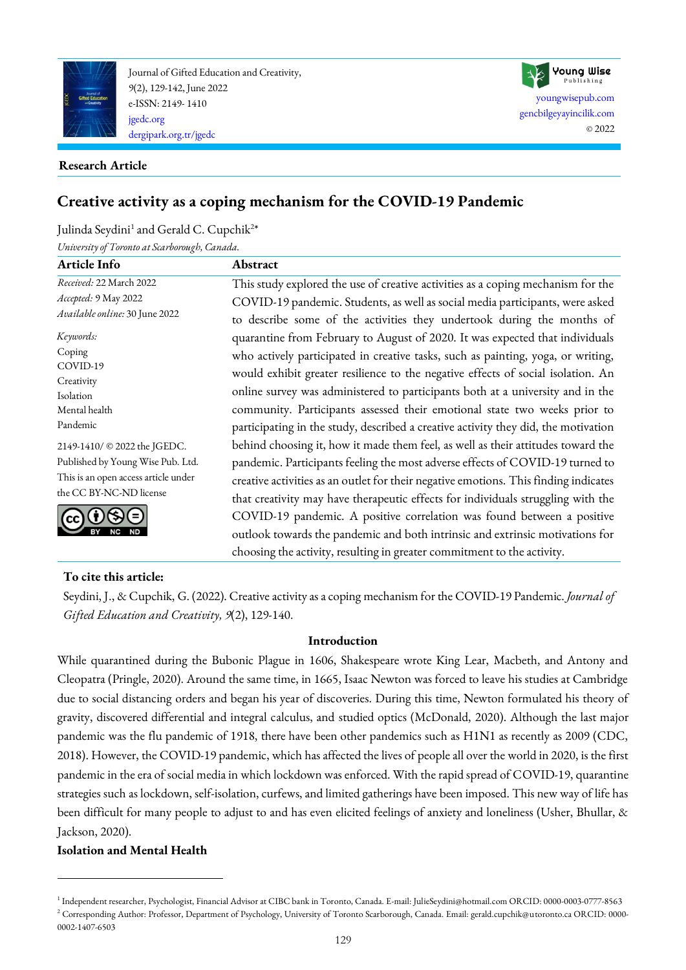

Journal of Gifted Education and Creativity, 9(2), 129-142, June 2022 e-ISSN: 2149- 1410 [jgedc.org](https://dergipark.org.tr/en/pub/jgedc) [dergipark.org.tr/jgedc](https://dergipark.org.tr/en/pub/jgedc)

### **Research Article**

# **Creative activity as a coping mechanism for the COVID-19 Pandemic**

Julinda Seydini<sup>1</sup> and Gerald C. Cupchik<sup>2\*</sup>

*University of Toronto at Scarborough, Canada.*

| Article Info                         | Abstract                                                                                                                                                           |  |  |
|--------------------------------------|--------------------------------------------------------------------------------------------------------------------------------------------------------------------|--|--|
| Received: 22 March 2022              | This study explored the use of creative activities as a coping mechanism for the                                                                                   |  |  |
| Accepted: 9 May 2022                 | COVID-19 pandemic. Students, as well as social media participants, were asked                                                                                      |  |  |
| Available online: 30 June 2022       | to describe some of the activities they undertook during the months of                                                                                             |  |  |
| Keywords:                            | quarantine from February to August of 2020. It was expected that individuals                                                                                       |  |  |
| Coping<br>COVID-19                   | who actively participated in creative tasks, such as painting, yoga, or writing,                                                                                   |  |  |
| Creativity<br>Isolation              | would exhibit greater resilience to the negative effects of social isolation. An<br>online survey was administered to participants both at a university and in the |  |  |
| Mental health                        | community. Participants assessed their emotional state two weeks prior to                                                                                          |  |  |
| Pandemic                             | participating in the study, described a creative activity they did, the motivation                                                                                 |  |  |
| 2149-1410/ © 2022 the JGEDC.         | behind choosing it, how it made them feel, as well as their attitudes toward the<br>pandemic. Participants feeling the most adverse effects of COVID-19 turned to  |  |  |
| Published by Young Wise Pub. Ltd.    |                                                                                                                                                                    |  |  |
| This is an open access article under | creative activities as an outlet for their negative emotions. This finding indicates                                                                               |  |  |
| the CC BY-NC-ND license              | that creativity may have therapeutic effects for individuals struggling with the                                                                                   |  |  |
|                                      | COVID-19 pandemic. A positive correlation was found between a positive                                                                                             |  |  |
|                                      | outlook towards the pandemic and both intrinsic and extrinsic motivations for                                                                                      |  |  |
|                                      | choosing the activity, resulting in greater commitment to the activity.                                                                                            |  |  |

[youngwisepub.com](https://youngwisepub.com/) [gencbilgeyayincilik.com](http://gencbilgeyayincilik.com/)

Young Wise Publishing

© 2022

### **To cite this article:**

Seydini, J., & Cupchik, G. (2022). Creative activity as a coping mechanism for the COVID-19 Pandemic. *Journal of Gifted Education and Creativity, 9*(2), 129-140.

### **Introduction**

While quarantined during the Bubonic Plague in 1606, Shakespeare wrote King Lear, Macbeth, and Antony and Cleopatra (Pringle, [2020\)](#page-10-0). Around the same time, in 1665, Isaac Newton was forced to leave his studies at Cambridge due to social distancing orders and began his year of discoveries. During this time, Newton formulated his theory of gravity, discovered differential and integral calculus, and studied optics (McDonald, [2020\)](#page-10-0). Although the last major pandemic was the flu pandemic of 1918, there have been other pandemics such as H1N1 as recently as 2009 (CDC, [2018\)](#page-10-0). However, the COVID-19 pandemic, which has affected the lives of people all over the world in 2020, is the first pandemic in the era of social media in which lockdown was enforced. With the rapid spread of COVID-19, quarantine strategies such as lockdown, self-isolation, curfews, and limited gatherings have been imposed. This new way of life has been difficult for many people to adjust to and has even elicited feelings of anxiety and loneliness (Usher, Bhullar, & Jackson, [2020\)](#page-10-0).

# **Isolation and Mental Health**

<sup>1</sup> Independent researcher, Psychologist, Financial Advisor at CIBC bank in Toronto, Canada. E-mail: JulieSeydini@hotmail.com ORCID: 0000-0003-0777-8563 <sup>2</sup> Corresponding Author: Professor, Department of Psychology, University of Toronto Scarborough, Canada. Email: gerald.cupchik@utoronto.ca ORCID: 0000-0002-1407-6503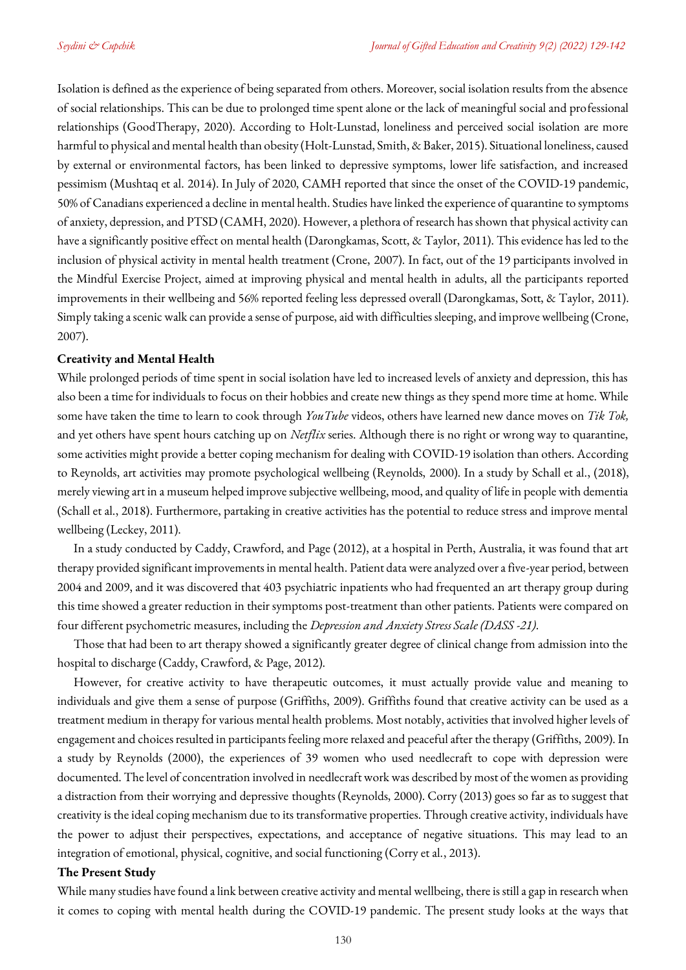Isolation is defined as the experience of being separated from others. Moreover, social isolation results from the absence of social relationships. This can be due to prolonged time spent alone or the lack of meaningful social and professional relationships (GoodTherapy, [2020\)](#page-10-0). According to Holt-Lunstad, loneliness and perceived social isolation are more harmful to physical and mental health than obesity (Holt-Lunstad, Smith, & Baker, [2015\)](#page-10-0). Situational loneliness, caused by external or environmental factors, has been linked to depressive symptoms, lower life satisfaction, and increased pessimism (Mushtaq et al. [2014\)](#page-10-0). In July of 2020, CAMH reported that since the onset of the COVID-19 pandemic, 50% of Canadians experienced a decline in mental health. Studies have linked the experience of quarantine to symptoms of anxiety, depression, and PTSD (CAMH[, 2020\)](#page-10-0). However, a plethora of research has shown that physical activity can have a significantly positive effect on mental health (Darongkamas, Scott, & Taylor[, 2011\)](#page-10-0). This evidence has led to the inclusion of physical activity in mental health treatment (Crone, [2007\)](#page-10-0). In fact, out of the 19 participants involved in the Mindful Exercise Project, aimed at improving physical and mental health in adults, all the participants reported improvements in their wellbeing and 56% reported feeling less depressed overall (Darongkamas, Sott, & Taylor, [2011\)](#page-10-0). Simply taking a scenic walk can provide a sense of purpose, aid with difficulties sleeping, and improve wellbeing (Crone, [2007\)](#page-10-0).

### **Creativity and Mental Health**

While prolonged periods of time spent in social isolation have led to increased levels of anxiety and depression, this has also been a time for individuals to focus on their hobbies and create new things as they spend more time at home. While some have taken the time to learn to cook through *YouTube* videos, others have learned new dance moves on *Tik Tok,*  and yet others have spent hours catching up on *Netflix* series. Although there is no right or wrong way to quarantine, some activities might provide a better coping mechanism for dealing with COVID-19 isolation than others. According to Reynolds, art activities may promote psychological wellbeing (Reynolds, [2000\)](#page-10-0). In a study by Schall et al., [\(2018\)](#page-10-0), merely viewing art in a museum helped improve subjective wellbeing, mood, and quality of life in people with dementia (Schall et al., [2018\)](#page-10-0). Furthermore, partaking in creative activities has the potential to reduce stress and improve mental wellbeing (Leckey, 2011).

In a study conducted by Caddy, Crawford, and Page [\(2012\)](#page-10-0), at a hospital in Perth, Australia, it was found that art therapy provided significant improvements in mental health. Patient data were analyzed over a five-year period, between 2004 and 2009, and it was discovered that 403 psychiatric inpatients who had frequented an art therapy group during this time showed a greater reduction in their symptoms post-treatment than other patients. Patients were compared on four different psychometric measures, including the *Depression and Anxiety Stress Scale (DASS -21)*.

Those that had been to art therapy showed a significantly greater degree of clinical change from admission into the hospital to discharge (Caddy, Crawford, & Page, [2012\)](#page-10-0).

However, for creative activity to have therapeutic outcomes, it must actually provide value and meaning to individuals and give them a sense of purpose (Griffiths, [2009\)](#page-10-0). Griffiths found that creative activity can be used as a treatment medium in therapy for various mental health problems. Most notably, activities that involved higher levels of engagement and choices resulted in participants feeling more relaxed and peaceful after the therapy (Griffiths, [2009\)](#page-10-0). In a study by Reynolds [\(2000\)](#page-10-0), the experiences of 39 women who used needlecraft to cope with depression were documented. The level of concentration involved in needlecraft work was described by most of the women as providing a distraction from their worrying and depressive thoughts (Reynolds[, 2000\)](#page-10-0). Corry [\(2013\)](#page-10-0) goes so far as to suggest that creativity is the ideal coping mechanism due to its transformative properties. Through creative activity, individuals have the power to adjust their perspectives, expectations, and acceptance of negative situations. This may lead to an integration of emotional, physical, cognitive, and social functioning (Corry et al., [2013\)](#page-10-0).

### **The Present Study**

While many studies have found a link between creative activity and mental wellbeing, there is still a gap in research when it comes to coping with mental health during the COVID-19 pandemic. The present study looks at the ways that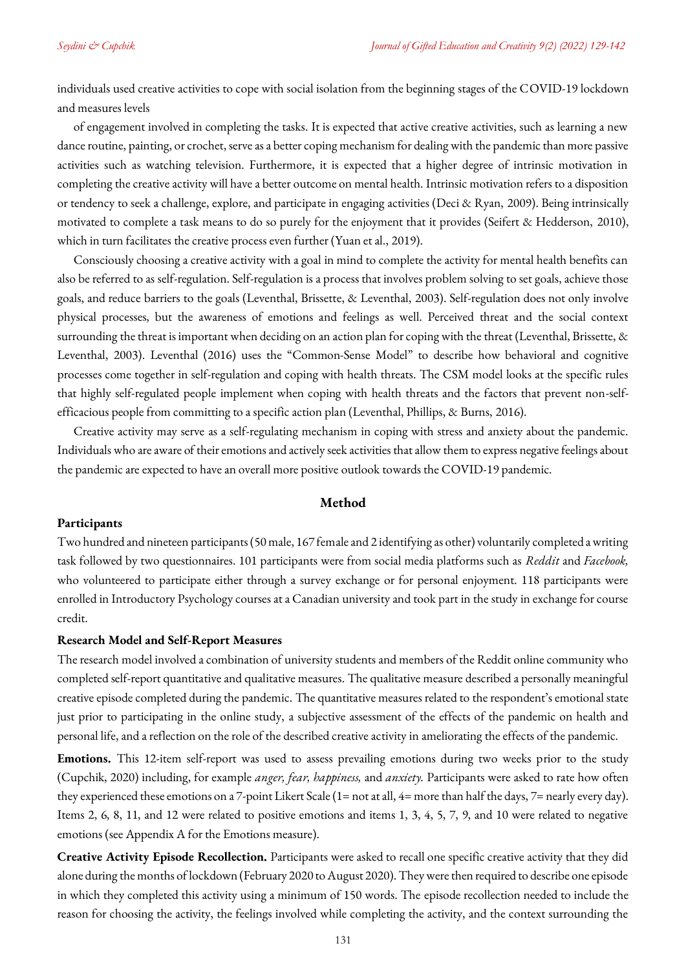individuals used creative activities to cope with social isolation from the beginning stages of the COVID-19 lockdown and measures levels

of engagement involved in completing the tasks. It is expected that active creative activities, such as learning a new dance routine, painting, or crochet, serve as a better coping mechanism for dealing with the pandemic than more passive activities such as watching television. Furthermore, it is expected that a higher degree of intrinsic motivation in completing the creative activity will have a better outcome on mental health. Intrinsic motivation refers to a disposition or tendency to seek a challenge, explore, and participate in engaging activities (Deci & Ryan, [2009\)](#page-10-0). Being intrinsically motivated to complete a task means to do so purely for the enjoyment that it provides (Seifert & Hedderson, [2010\)](#page-10-0), which in turn facilitates the creative process even further (Yuan et al., [2019\)](#page-10-0).

Consciously choosing a creative activity with a goal in mind to complete the activity for mental health benefits can also be referred to as self-regulation. Self-regulation is a process that involves problem solving to set goals, achieve those goals, and reduce barriers to the goals (Leventhal, Brissette, & Leventhal, [2003\)](#page-10-0). Self-regulation does not only involve physical processes, but the awareness of emotions and feelings as well. Perceived threat and the social context surrounding the threat is important when deciding on an action plan for coping with the threat (Leventhal, Brissette, & Leventhal, [2003\)](#page-10-0). Leventhal [\(2016](#page-10-0)) uses the "Common-Sense Model" to describe how behavioral and cognitive processes come together in self-regulation and coping with health threats. The CSM model looks at the specific rules that highly self-regulated people implement when coping with health threats and the factors that prevent non-selfefficacious people from committing to a specific action plan (Leventhal, Phillips, & Burns, [2016\)](#page-10-0).

Creative activity may serve as a self-regulating mechanism in coping with stress and anxiety about the pandemic. Individuals who are aware of their emotions and actively seek activities that allow them to express negative feelings about the pandemic are expected to have an overall more positive outlook towards the COVID-19 pandemic.

#### **Method**

## **Participants**

Two hundred and nineteen participants (50 male, 167 female and 2 identifying as other) voluntarily completed a writing task followed by two questionnaires. 101 participants were from social media platforms such as *Reddit* and *Facebook,* who volunteered to participate either through a survey exchange or for personal enjoyment. 118 participants were enrolled in Introductory Psychology courses at a Canadian university and took part in the study in exchange for course credit.

### **Research Model and Self-Report Measures**

The research model involved a combination of university students and members of the Reddit online community who completed self-report quantitative and qualitative measures. The qualitative measure described a personally meaningful creative episode completed during the pandemic. The quantitative measures related to the respondent's emotional state just prior to participating in the online study, a subjective assessment of the effects of the pandemic on health and personal life, and a reflection on the role of the described creative activity in ameliorating the effects of the pandemic.

**Emotions.** This 12-item self-report was used to assess prevailing emotions during two weeks prior to the study (Cupchik[, 2020\)](#page-10-0) including, for example *anger, fear, happiness,* and *anxiety.* Participants were asked to rate how often they experienced these emotions on a 7-point Likert Scale (1= not at all, 4= more than half the days, 7= nearly every day). Items 2, 6, 8, 11, and 12 were related to positive emotions and items 1, 3, 4, 5, 7, 9, and 10 were related to negative emotions (see Appendix A for the Emotions measure).

**Creative Activity Episode Recollection.** Participants were asked to recall one specific creative activity that they did alone during the months of lockdown (February 2020 to August 2020). They were then required to describe one episode in which they completed this activity using a minimum of 150 words. The episode recollection needed to include the reason for choosing the activity, the feelings involved while completing the activity, and the context surrounding the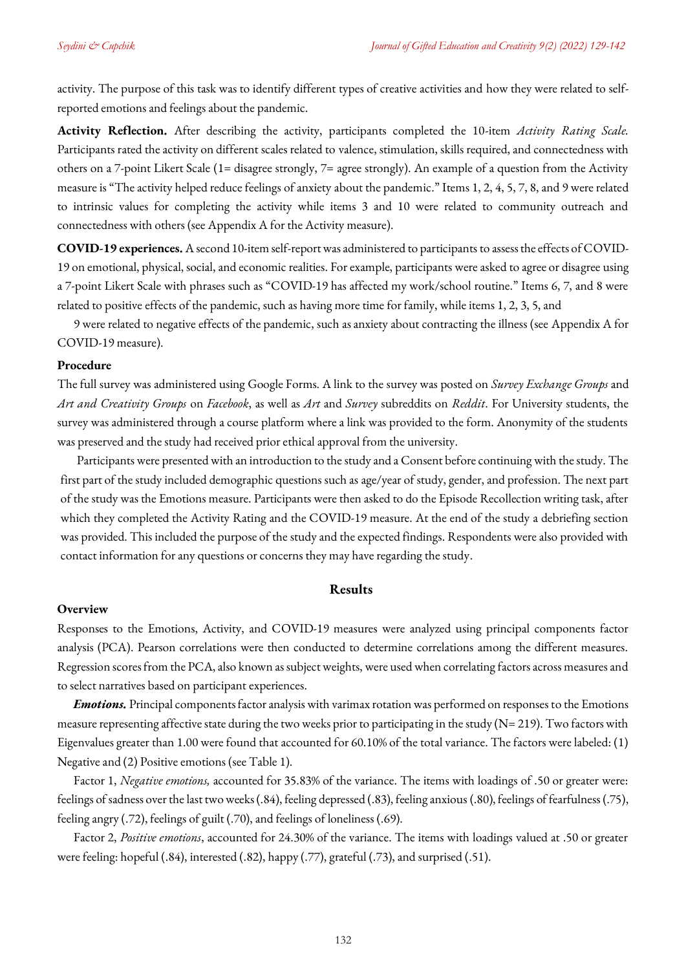activity. The purpose of this task was to identify different types of creative activities and how they were related to selfreported emotions and feelings about the pandemic.

**Activity Reflection.** After describing the activity, participants completed the 10-item *Activity Rating Scale.*  Participants rated the activity on different scales related to valence, stimulation, skills required, and connectedness with others on a 7-point Likert Scale (1= disagree strongly, 7= agree strongly). An example of a question from the Activity measure is "The activity helped reduce feelings of anxiety about the pandemic." Items 1, 2, 4, 5, 7, 8, and 9 were related to intrinsic values for completing the activity while items 3 and 10 were related to community outreach and connectedness with others (se[e Appendix A](#page-12-0) for the Activity measure).

**COVID-19 experiences.** A second 10-item self-report was administered to participants to assess the effects of COVID-19 on emotional, physical, social, and economic realities. For example, participants were asked to agree or disagree using a 7-point Likert Scale with phrases such as "COVID-19 has affected my work/school routine." Items 6, 7, and 8 were related to positive effects of the pandemic, such as having more time for family, while items 1, 2, 3, 5, and

9 were related to negative effects of the pandemic, such as anxiety about contracting the illness (see [Appendix A](#page-12-0) for COVID-19 measure).

### **Procedure**

The full survey was administered using Google Forms. A link to the survey was posted on *Survey Exchange Groups* and *Art and Creativity Groups* on *Facebook*, as well as *Art* and *Survey* subreddits on *Reddit*. For University students, the survey was administered through a course platform where a link was provided to the form. Anonymity of the students was preserved and the study had received prior ethical approval from the university.

Participants were presented with an introduction to the study and a Consent before continuing with the study. The first part of the study included demographic questions such as age/year of study, gender, and profession. The next part of the study was the Emotions measure. Participants were then asked to do the Episode Recollection writing task, after which they completed the Activity Rating and the COVID-19 measure. At the end of the study a debriefing section was provided. This included the purpose of the study and the expected findings. Respondents were also provided with contact information for any questions or concerns they may have regarding the study.

### **Results**

#### **Overview**

Responses to the Emotions, Activity, and COVID-19 measures were analyzed using principal components factor analysis (PCA). Pearson correlations were then conducted to determine correlations among the different measures. Regression scores from the PCA, also known as subject weights, were used when correlating factors across measures and to select narratives based on participant experiences.

*Emotions.* Principal components factor analysis with varimax rotation was performed on responses to the Emotions measure representing affective state during the two weeks prior to participating in the study ( $N=219$ ). Two factors with Eigenvalues greater than 1.00 were found that accounted for 60.10% of the total variance. The factors were labeled: (1) Negative and (2) Positive emotions (see Table 1).

Factor 1, *Negative emotions,* accounted for 35.83% of the variance. The items with loadings of .50 or greater were: feelings of sadness over the last two weeks (.84), feeling depressed (.83), feeling anxious (.80), feelings of fearfulness (.75), feeling angry (.72), feelings of guilt (.70), and feelings of loneliness (.69).

Factor 2, *Positive emotions*, accounted for 24.30% of the variance. The items with loadings valued at .50 or greater were feeling: hopeful (.84), interested (.82), happy (.77), grateful (.73), and surprised (.51).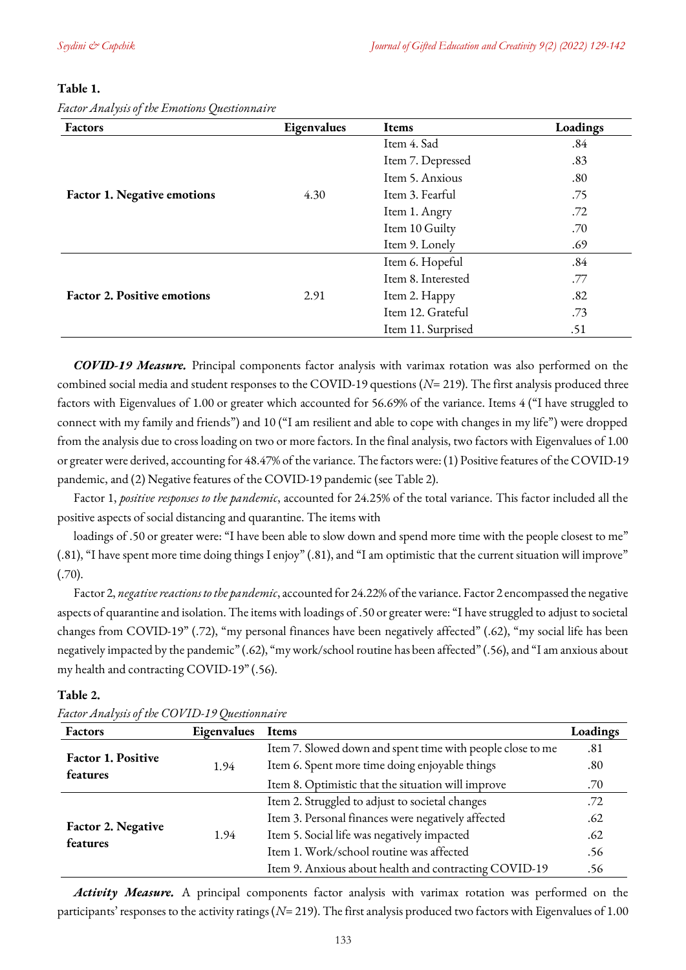*Factor Analysis of the Emotions Questionnaire*

### **Table 1.**

| Factors                            | Eigenvalues | <b>Items</b>       | Loadings |
|------------------------------------|-------------|--------------------|----------|
|                                    |             | Item 4. Sad        | .84      |
|                                    |             | Item 7. Depressed  | .83      |
|                                    |             | Item 5. Anxious    | .80      |
| <b>Factor 1. Negative emotions</b> | 4.30        | Item 3. Fearful    | .75      |
|                                    |             | Item 1. Angry      | .72      |
|                                    |             | Item 10 Guilty     | .70      |
|                                    |             | Item 9. Lonely     | .69      |
|                                    |             | Item 6. Hopeful    | .84      |
|                                    |             | Item 8. Interested | .77      |
| <b>Factor 2. Positive emotions</b> | 2.91        | Item 2. Happy      | .82      |
|                                    |             | Item 12. Grateful  | .73      |
|                                    |             | Item 11. Surprised | .51      |

*COVID-19 Measure.* Principal components factor analysis with varimax rotation was also performed on the combined social media and student responses to the COVID-19 questions (*N*= 219). The first analysis produced three factors with Eigenvalues of 1.00 or greater which accounted for 56.69% of the variance. Items 4 ("I have struggled to connect with my family and friends") and 10 ("I am resilient and able to cope with changes in my life") were dropped from the analysis due to cross loading on two or more factors. In the final analysis, two factors with Eigenvalues of 1.00 or greater were derived, accounting for 48.47% of the variance. The factors were: (1) Positive features of the COVID-19 pandemic, and (2) Negative features of the COVID-19 pandemic (see Table 2).

Factor 1, *positive responses to the pandemic*, accounted for 24.25% of the total variance. This factor included all the positive aspects of social distancing and quarantine. The items with

loadings of .50 or greater were: "I have been able to slow down and spend more time with the people closest to me" (.81), "I have spent more time doing things I enjoy" (.81), and "I am optimistic that the current situation will improve" (.70).

Factor 2, *negative reactions to the pandemic*, accounted for 24.22% of the variance. Factor 2 encompassed the negative aspects of quarantine and isolation. The items with loadings of .50 or greater were: "I have struggled to adjust to societal changes from COVID-19" (.72), "my personal finances have been negatively affected" (.62), "my social life has been negatively impacted by the pandemic" (.62), "my work/school routine has been affected" (.56), and "I am anxious about my health and contracting COVID-19" (.56).

| <b>Factors</b>                 | Eigenvalues | <b>Items</b>                                               | Loadings |
|--------------------------------|-------------|------------------------------------------------------------|----------|
|                                |             | Item 7. Slowed down and spent time with people close to me | .81      |
| Factor 1. Positive             | 1.94        | Item 6. Spent more time doing enjoyable things             | .80      |
| features                       |             | Item 8. Optimistic that the situation will improve         | .70      |
|                                | 1.94        | Item 2. Struggled to adjust to societal changes            | .72      |
| Factor 2. Negative<br>features |             | Item 3. Personal finances were negatively affected         | .62      |
|                                |             | Item 5. Social life was negatively impacted                | .62      |
|                                |             | Item 1. Work/school routine was affected                   | .56      |
|                                |             | Item 9. Anxious about health and contracting COVID-19      | .56      |

**Table 2.** *Factor Analysis of the COVID-19 Questionnaire* 

*Activity Measure.* A principal components factor analysis with varimax rotation was performed on the participants' responses to the activity ratings (*N*= 219). The first analysis produced two factors with Eigenvalues of 1.00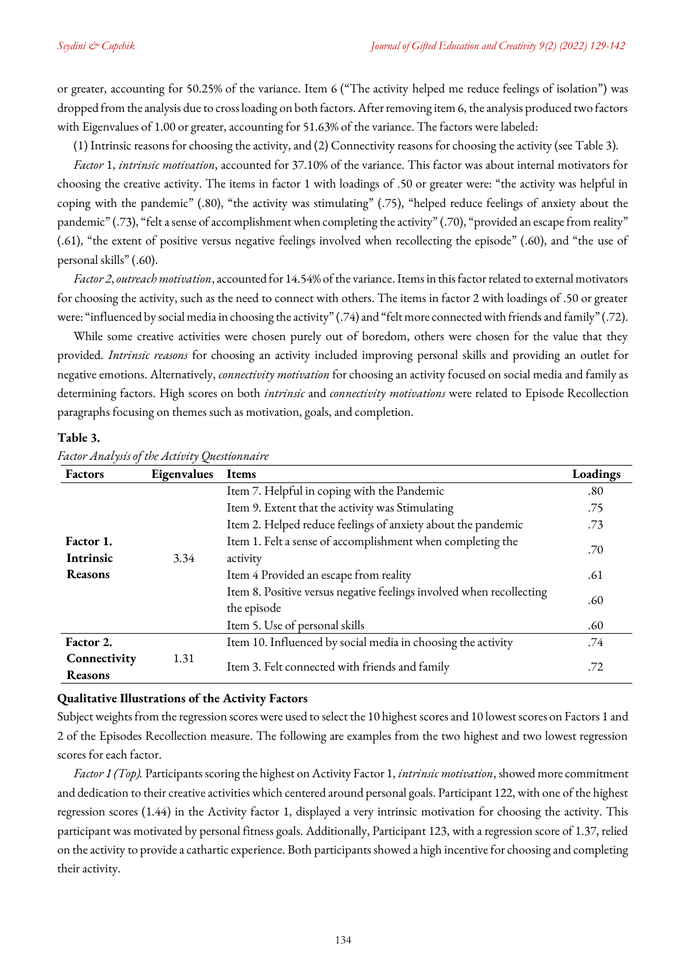or greater, accounting for 50.25% of the variance. Item 6 ("The activity helped me reduce feelings of isolation") was dropped from the analysis due to cross loading on both factors. After removing item 6, the analysis produced two factors with Eigenvalues of 1.00 or greater, accounting for 51.63% of the variance. The factors were labeled:

(1) Intrinsic reasons for choosing the activity, and (2) Connectivity reasons for choosing the activity (see Table 3).

*Factor* 1, *intrinsic motivation*, accounted for 37.10% of the variance. This factor was about internal motivators for choosing the creative activity. The items in factor 1 with loadings of .50 or greater were: "the activity was helpful in coping with the pandemic" (.80), "the activity was stimulating" (.75), "helped reduce feelings of anxiety about the pandemic" (.73), "felt a sense of accomplishment when completing the activity" (.70), "provided an escape from reality" (.61), "the extent of positive versus negative feelings involved when recollecting the episode" (.60), and "the use of personal skills" (.60).

*Factor 2*, *outreachmotivation*, accounted for 14.54% of the variance. Items in this factor related to external motivators for choosing the activity, such as the need to connect with others. The items in factor 2 with loadings of .50 or greater were: "influenced by social media in choosing the activity" (.74) and "felt more connected with friends and family" (.72).

While some creative activities were chosen purely out of boredom, others were chosen for the value that they provided. *Intrinsic reasons* for choosing an activity included improving personal skills and providing an outlet for negative emotions. Alternatively, *connectivity motivation* for choosing an activity focused on social media and family as determining factors. High scores on both *intrinsic* and *connectivity motivations* were related to Episode Recollection paragraphs focusing on themes such as motivation, goals, and completion.

### **Table 3.**

| Factors                        | Eigenvalues | <b>Items</b>                                                                        | Loadings |
|--------------------------------|-------------|-------------------------------------------------------------------------------------|----------|
|                                |             | Item 7. Helpful in coping with the Pandemic                                         | .80      |
|                                |             | Item 9. Extent that the activity was Stimulating                                    | .75      |
|                                |             | Item 2. Helped reduce feelings of anxiety about the pandemic                        | .73      |
| Factor 1.<br>Intrinsic<br>3.34 |             | Item 1. Felt a sense of accomplishment when completing the<br>activity              | .70      |
| Reasons                        |             | Item 4 Provided an escape from reality                                              | .61      |
|                                |             | Item 8. Positive versus negative feelings involved when recollecting<br>the episode | .60      |
|                                |             | Item 5. Use of personal skills                                                      | .60      |
| Factor 2.                      |             | Item 10. Influenced by social media in choosing the activity                        | .74      |
| Connectivity<br>Reasons        | 1.31        | Item 3. Felt connected with friends and family                                      | .72      |

*Factor Analysis of the Activity Questionnaire* 

### **Qualitative Illustrations of the Activity Factors**

Subject weights from the regression scores were used to select the 10 highest scores and 10 lowest scores on Factors 1 and 2 of the Episodes Recollection measure. The following are examples from the two highest and two lowest regression scores for each factor.

*Factor 1 (Top).* Participants scoring the highest on Activity Factor 1, *intrinsic motivation*, showed more commitment and dedication to their creative activities which centered around personal goals. Participant 122, with one of the highest regression scores (1.44) in the Activity factor 1, displayed a very intrinsic motivation for choosing the activity. This participant was motivated by personal fitness goals. Additionally, Participant 123, with a regression score of 1.37, relied on the activity to provide a cathartic experience. Both participants showed a high incentive for choosing and completing their activity.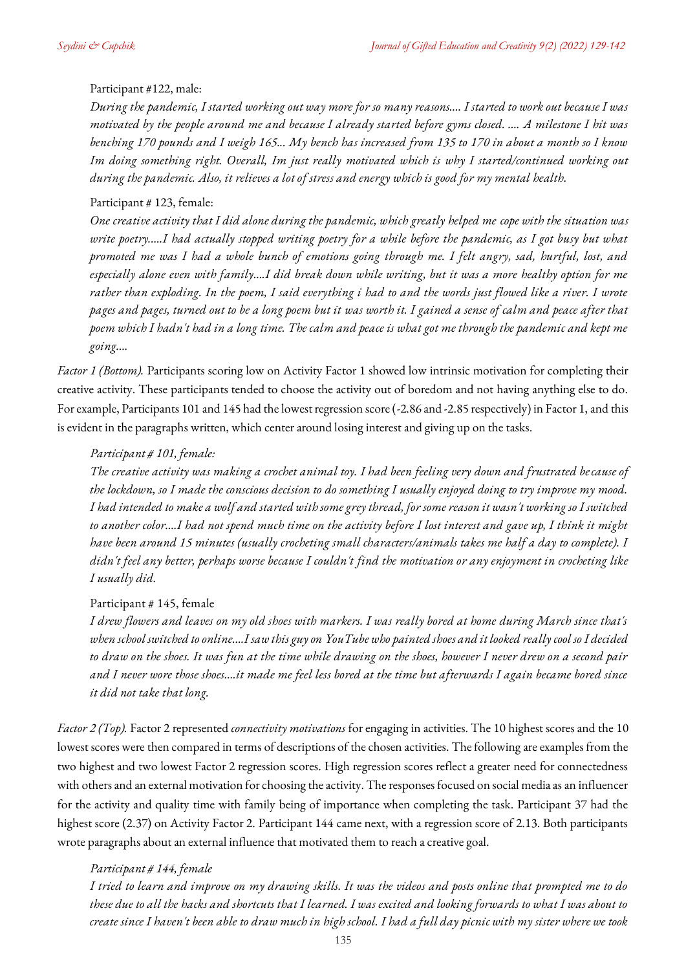## Participant #122, male:

*During the pandemic, I started working out way more for so many reasons…. I started to work out because I was motivated by the people around me and because I already started before gyms closed. …. A milestone I hit was benching 170 pounds and I weigh 165... My bench has increased from 135 to 170 in about a month so I know Im doing something right. Overall, Im just really motivated which is why I started/continued working out during the pandemic. Also, it relieves a lot of stress and energy which is good for my mental health.*

### Participant # 123, female:

*One creative activity that I did alone during the pandemic, which greatly helped me cope with the situation was*  write poetry.....I had actually stopped writing poetry for a while before the pandemic, as I got busy but what *promoted me was I had a whole bunch of emotions going through me. I felt angry, sad, hurtful, lost, and especially alone even with family….I did break down while writing, but it was a more healthy option for me rather than exploding. In the poem, I said everything i had to and the words just flowed like a river. I wrote pages and pages, turned out to be a long poem but it was worth it. I gained a sense of calm and peace after that poem which I hadn't had in a long time. The calm and peace is what got me through the pandemic and kept me going….* 

*Factor 1 (Bottom).* Participants scoring low on Activity Factor 1 showed low intrinsic motivation for completing their creative activity. These participants tended to choose the activity out of boredom and not having anything else to do. For example, Participants 101 and 145 had the lowest regression score (-2.86 and -2.85 respectively) in Factor 1, and this is evident in the paragraphs written, which center around losing interest and giving up on the tasks.

## *Participant # 101, female:*

*The creative activity was making a crochet animal toy. I had been feeling very down and frustrated because of the lockdown, so I made the conscious decision to do something I usually enjoyed doing to try improve my mood. I had intended to make a wolf and started with some grey thread, for some reason it wasn't working so I switched to another color….I had not spend much time on the activity before I lost interest and gave up, I think it might have been around 15 minutes (usually crocheting small characters/animals takes me half a day to complete). I didn't feel any better, perhaps worse because I couldn't find the motivation or any enjoyment in crocheting like I usually did.*

### Participant # 145, female

*I drew flowers and leaves on my old shoes with markers. I was really bored at home during March since that's when school switched to online….I saw this guy on YouTube who painted shoes and it looked really cool so I decided to draw on the shoes. It was fun at the time while drawing on the shoes, however I never drew on a second pair and I never wore those shoes….it made me feel less bored at the time but afterwards I again became bored since it did not take that long.* 

*Factor 2 (Top).* Factor 2 represented *connectivity motivations* for engaging in activities. The 10 highest scores and the 10 lowest scores were then compared in terms of descriptions of the chosen activities. The following are examples from the two highest and two lowest Factor 2 regression scores. High regression scores reflect a greater need for connectedness with others and an external motivation for choosing the activity. The responses focused on social media as an influencer for the activity and quality time with family being of importance when completing the task. Participant 37 had the highest score (2.37) on Activity Factor 2. Participant 144 came next, with a regression score of 2.13. Both participants wrote paragraphs about an external influence that motivated them to reach a creative goal.

# *Participant # 144, female*

*I tried to learn and improve on my drawing skills. It was the videos and posts online that prompted me to do these due to all the hacks and shortcuts that I learned. I was excited and looking forwards to what I was about to create since I haven't been able to draw much in high school. I had a full day picnic with my sister where we took*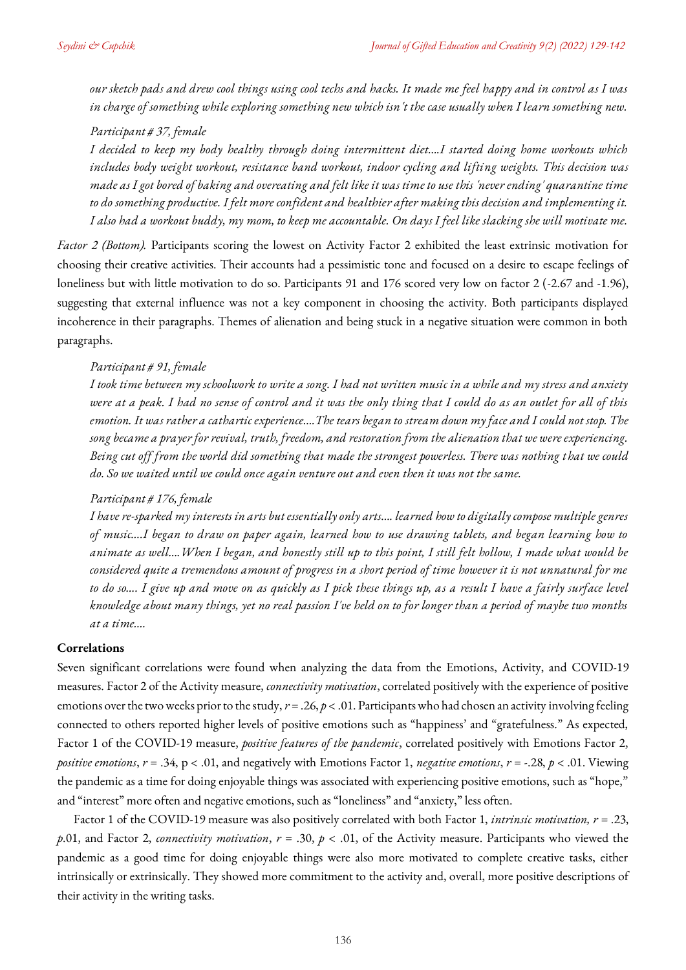*our sketch pads and drew cool things using cool techs and hacks. It made me feel happy and in control as I was in charge of something while exploring something new which isn't the case usually when I learn something new.*

## *Participant # 37, female*

*I decided to keep my body healthy through doing intermittent diet….I started doing home workouts which includes body weight workout, resistance band workout, indoor cycling and lifting weights. This decision was made as I got bored of baking and overeating and felt like it was time to use this 'never ending' quarantine time to do something productive. I felt more confident and healthier after making this decision and implementing it. I also had a workout buddy, my mom, to keep me accountable. On days I feel like slacking she will motivate me.* 

*Factor 2 (Bottom).* Participants scoring the lowest on Activity Factor 2 exhibited the least extrinsic motivation for choosing their creative activities. Their accounts had a pessimistic tone and focused on a desire to escape feelings of loneliness but with little motivation to do so. Participants 91 and 176 scored very low on factor 2 (-2.67 and -1.96), suggesting that external influence was not a key component in choosing the activity. Both participants displayed incoherence in their paragraphs. Themes of alienation and being stuck in a negative situation were common in both paragraphs.

### *Participant # 91, female*

*I took time between my schoolwork to write a song. I had not written music in a while and my stress and anxiety were at a peak. I had no sense of control and it was the only thing that I could do as an outlet for all of this emotion. It was rather a cathartic experience….The tears began to stream down my face and I could not stop. The song became a prayer for revival, truth, freedom, and restoration from the alienation that we were experiencing. Being cut off from the world did something that made the strongest powerless. There was nothing that we could do. So we waited until we could once again venture out and even then it was not the same.*

### *Participant # 176, female*

*I have re-sparked my interests in arts but essentially only arts…. learned how to digitally compose multiple genres of music….I began to draw on paper again, learned how to use drawing tablets, and began learning how to animate as well….When I began, and honestly still up to this point, I still felt hollow, I made what would be considered quite a tremendous amount of progress in a short period of time however it is not unnatural for me to do so…. I give up and move on as quickly as I pick these things up, as a result I have a fairly surface level knowledge about many things, yet no real passion I've held on to for longer than a period of maybe two months at a time….*

## **Correlations**

Seven significant correlations were found when analyzing the data from the Emotions, Activity, and COVID-19 measures. Factor 2 of the Activity measure, *connectivity motivation*, correlated positively with the experience of positive emotions over the two weeks prior to the study,  $r = .26$ ,  $p < .01$ . Participants who had chosen an activity involving feeling connected to others reported higher levels of positive emotions such as "happiness' and "gratefulness." As expected, Factor 1 of the COVID-19 measure, *positive features of the pandemic*, correlated positively with Emotions Factor 2, *positive emotions*, *r* = .34, p < .01, and negatively with Emotions Factor 1, *negative emotions*, *r* = -.28, *p* < .01. Viewing the pandemic as a time for doing enjoyable things was associated with experiencing positive emotions, such as "hope," and "interest" more often and negative emotions, such as "loneliness" and "anxiety," less often.

Factor 1 of the COVID-19 measure was also positively correlated with both Factor 1, *intrinsic motivation, r* = .23, *p*.01, and Factor 2, *connectivity motivation*, *r* = .30, *p* < .01, of the Activity measure. Participants who viewed the pandemic as a good time for doing enjoyable things were also more motivated to complete creative tasks, either intrinsically or extrinsically. They showed more commitment to the activity and, overall, more positive descriptions of their activity in the writing tasks.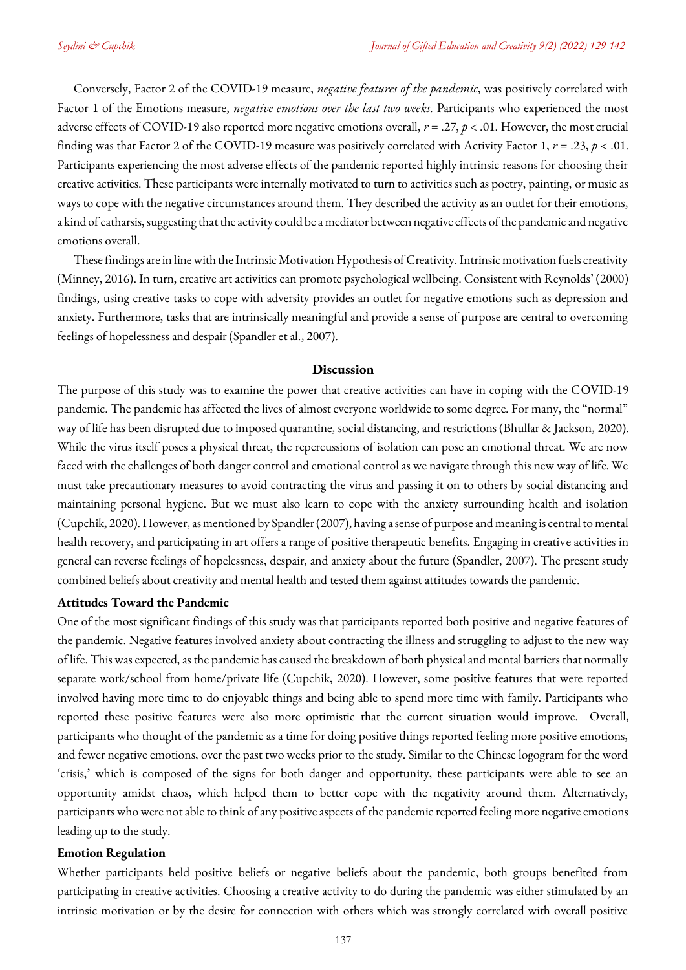Conversely, Factor 2 of the COVID-19 measure, *negative features of the pandemic*, was positively correlated with Factor 1 of the Emotions measure, *negative emotions over the last two weeks*. Participants who experienced the most adverse effects of COVID-19 also reported more negative emotions overall, *r* = .27, *p* < .01. However, the most crucial finding was that Factor 2 of the COVID-19 measure was positively correlated with Activity Factor 1, *r* = .23, *p* < .01. Participants experiencing the most adverse effects of the pandemic reported highly intrinsic reasons for choosing their creative activities. These participants were internally motivated to turn to activities such as poetry, painting, or music as ways to cope with the negative circumstances around them. They described the activity as an outlet for their emotions, a kind of catharsis, suggesting that the activity could be a mediator between negative effects of the pandemic and negative emotions overall.

These findings are in line with the Intrinsic Motivation Hypothesis of Creativity. Intrinsic motivation fuels creativity (Minney, 2016). In turn, creative art activities can promote psychological wellbeing. Consistent with Reynolds' (2000) findings, using creative tasks to cope with adversity provides an outlet for negative emotions such as depression and anxiety. Furthermore, tasks that are intrinsically meaningful and provide a sense of purpose are central to overcoming feelings of hopelessness and despair (Spandler et al., [2007\)](#page-10-0).

### **Discussion**

The purpose of this study was to examine the power that creative activities can have in coping with the COVID-19 pandemic. The pandemic has affected the lives of almost everyone worldwide to some degree. For many, the "normal" way of life has been disrupted due to imposed quarantine, social distancing, and restrictions (Bhullar & Jackson[, 2020\)](#page-10-0). While the virus itself poses a physical threat, the repercussions of isolation can pose an emotional threat. We are now faced with the challenges of both danger control and emotional control as we navigate through this new way of life. We must take precautionary measures to avoid contracting the virus and passing it on to others by social distancing and maintaining personal hygiene. But we must also learn to cope with the anxiety surrounding health and isolation (Cupchik[, 2020\)](#page-10-0). However, as mentioned by Spandler [\(2007\)](#page-10-0), having a sense of purpose and meaning is central to mental health recovery, and participating in art offers a range of positive therapeutic benefits. Engaging in creative activities in general can reverse feelings of hopelessness, despair, and anxiety about the future (Spandler, [2007\)](#page-10-0). The present study combined beliefs about creativity and mental health and tested them against attitudes towards the pandemic.

### **Attitudes Toward the Pandemic**

One of the most significant findings of this study was that participants reported both positive and negative features of the pandemic. Negative features involved anxiety about contracting the illness and struggling to adjust to the new way of life. This was expected, as the pandemic has caused the breakdown of both physical and mental barriers that normally separate work/school from home/private life (Cupchik, [2020\)](#page-10-0). However, some positive features that were reported involved having more time to do enjoyable things and being able to spend more time with family. Participants who reported these positive features were also more optimistic that the current situation would improve. Overall, participants who thought of the pandemic as a time for doing positive things reported feeling more positive emotions, and fewer negative emotions, over the past two weeks prior to the study. Similar to the Chinese logogram for the word 'crisis,' which is composed of the signs for both danger and opportunity, these participants were able to see an opportunity amidst chaos, which helped them to better cope with the negativity around them. Alternatively, participants who were not able to think of any positive aspects of the pandemic reported feeling more negative emotions leading up to the study.

### **Emotion Regulation**

Whether participants held positive beliefs or negative beliefs about the pandemic, both groups benefited from participating in creative activities. Choosing a creative activity to do during the pandemic was either stimulated by an intrinsic motivation or by the desire for connection with others which was strongly correlated with overall positive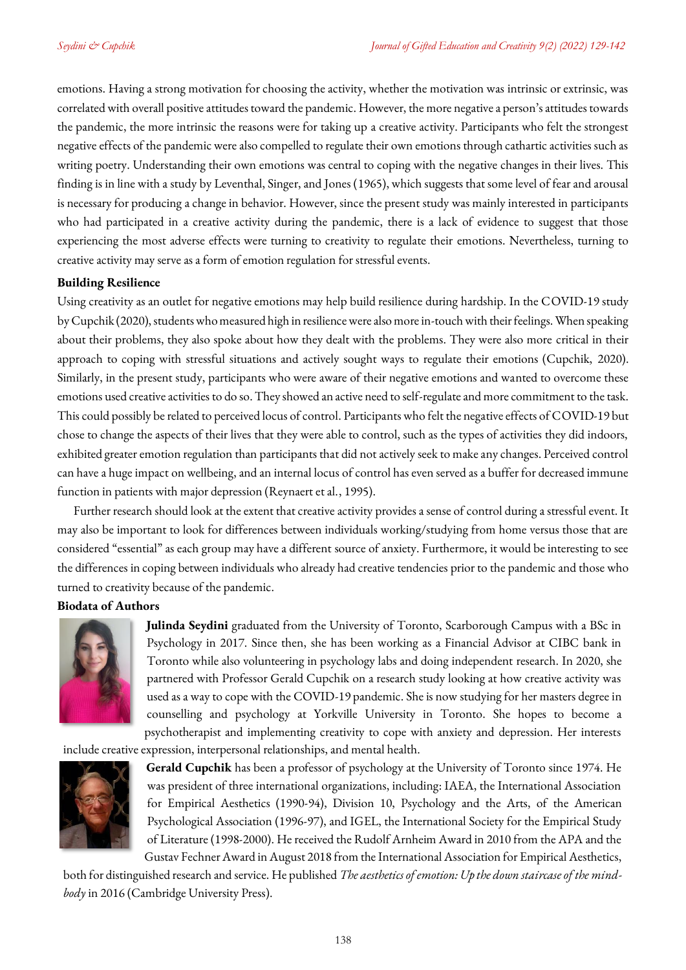emotions. Having a strong motivation for choosing the activity, whether the motivation was intrinsic or extrinsic, was correlated with overall positive attitudes toward the pandemic. However, the more negative a person's attitudes towards the pandemic, the more intrinsic the reasons were for taking up a creative activity. Participants who felt the strongest negative effects of the pandemic were also compelled to regulate their own emotions through cathartic activities such as writing poetry. Understanding their own emotions was central to coping with the negative changes in their lives. This finding is in line with a study by Leventhal, Singer, and Jones [\(1965\)](#page-10-0), which suggests that some level of fear and arousal is necessary for producing a change in behavior. However, since the present study was mainly interested in participants who had participated in a creative activity during the pandemic, there is a lack of evidence to suggest that those experiencing the most adverse effects were turning to creativity to regulate their emotions. Nevertheless, turning to creative activity may serve as a form of emotion regulation for stressful events.

## **Building Resilience**

Using creativity as an outlet for negative emotions may help build resilience during hardship. In the COVID-19 study by Cupchik [\(2020\)](#page-10-0), students who measured high in resilience were also more in-touch with their feelings. When speaking about their problems, they also spoke about how they dealt with the problems. They were also more critical in their approach to coping with stressful situations and actively sought ways to regulate their emotions (Cupchik, [2020\)](#page-10-0). Similarly, in the present study, participants who were aware of their negative emotions and wanted to overcome these emotions used creative activities to do so. They showed an active need to self-regulate and more commitment to the task. This could possibly be related to perceived locus of control. Participants who felt the negative effects of COVID-19 but chose to change the aspects of their lives that they were able to control, such as the types of activities they did indoors, exhibited greater emotion regulation than participants that did not actively seek to make any changes. Perceived control can have a huge impact on wellbeing, and an internal locus of control has even served as a buffer for decreased immune function in patients with major depression (Reynaert et al., [1995\)](#page-10-0).

Further research should look at the extent that creative activity provides a sense of control during a stressful event. It may also be important to look for differences between individuals working/studying from home versus those that are considered "essential" as each group may have a different source of anxiety. Furthermore, it would be interesting to see the differences in coping between individuals who already had creative tendencies prior to the pandemic and those who turned to creativity because of the pandemic.

# **Biodata of Authors**



**Julinda Seydini** graduated from the University of Toronto, Scarborough Campus with a BSc in Psychology in 2017. Since then, she has been working as a Financial Advisor at CIBC bank in Toronto while also volunteering in psychology labs and doing independent research. In 2020, she partnered with Professor Gerald Cupchik on a research study looking at how creative activity was used as a way to cope with the COVID-19 pandemic. She is now studying for her masters degree in counselling and psychology at Yorkville University in Toronto. She hopes to become a psychotherapist and implementing creativity to cope with anxiety and depression. Her interests

include creative expression, interpersonal relationships, and mental health.



**Gerald Cupchik** has been a professor of psychology at the University of Toronto since 1974. He was president of three international organizations, including: IAEA, the International Association for Empirical Aesthetics (1990-94), Division 10, Psychology and the Arts, of the American Psychological Association (1996-97), and IGEL, the International Society for the Empirical Study of Literature (1998-2000). He received the Rudolf Arnheim Award in 2010 from the APA and the Gustav Fechner Award in August 2018 from the International Association for Empirical Aesthetics,

both for distinguished research and service. He published *The aesthetics of emotion: Up the down staircase of the mindbody* in 2016 (Cambridge University Press).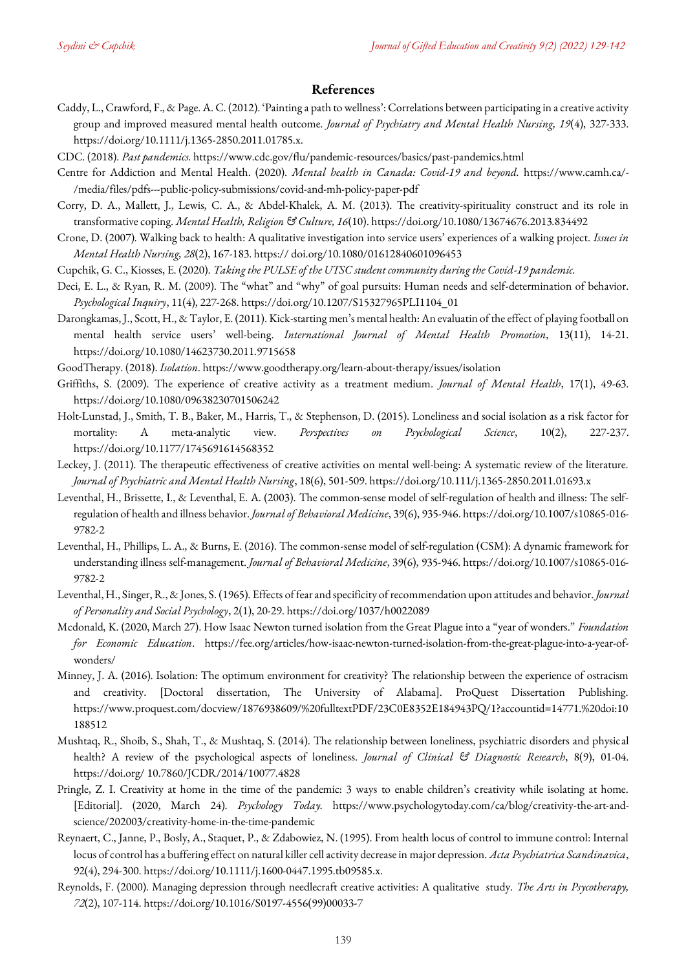### <span id="page-10-0"></span>**References**

- Caddy, L., Crawford, F., & Page. A. C. (2012). 'Painting a path to wellness': Correlations between participating in a creative activity group and improved measured mental health outcome. *Journal of Psychiatry and Mental Health Nursing, 19*(4), 327-333. https://doi.org/10.1111/j.1365-2850.2011.01785.x.
- CDC. (2018). *Past pandemics.* https://www.cdc.gov/flu/pandemic-resources/basics/past-pandemics.html
- Centre for Addiction and Mental Health. (2020). *Mental health in Canada: Covid-19 and beyond.* https://www.camh.ca/- /media/files/pdfs---public-policy-submissions/covid-and-mh-policy-paper-pdf
- Corry, D. A., Mallett, J., Lewis, C. A., & Abdel-Khalek, A. M. (2013). The creativity-spirituality construct and its role in transformative coping. *Mental Health, Religion & Culture, 16*(10). https://doi.org/10.1080/13674676.2013.834492
- Crone, D. (2007). Walking back to health: A qualitative investigation into service users' experiences of a walking project. *Issues in Mental Health Nursing, 28*(2), 167-183. https:// doi.org/10.1080/01612840601096453
- Cupchik, G. C., Kiosses, E. (2020). *Taking the PULSE of the UTSC student community during the Covid-19 pandemic.*
- Deci, E. L., & Ryan, R. M. (2009). The "what" and "why" of goal pursuits: Human needs and self-determination of behavior. *Psychological Inquiry*, 11(4), 227-268[. https://doi.org/10.1207/S15327965PLI1104\\_01](https://doi.org/10.1207/S15327965PLI1104_01)
- Darongkamas, J., Scott, H., & Taylor, E. (2011). Kick-starting men's mental health: An evaluatin of the effect of playing football on mental health service users' well-being. *International Journal of Mental Health Promotion*, 13(11), 14-21. https://doi.org/10.1080/14623730.2011.9715658
- GoodTherapy. (2018). *Isolation*. https://www.goodtherapy.org/learn-about-therapy/issues/isolation
- Griffiths, S. (2009). The experience of creative activity as a treatment medium. *Journal of Mental Health*, 17(1), 49-63. https://doi.org/10.1080/09638230701506242
- Holt-Lunstad, J., Smith, T. B., Baker, M., Harris, T., & Stephenson, D. (2015). Loneliness and social isolation as a risk factor for mortality: A meta-analytic view. *Perspectives on Psychological Science*, 10(2), 227-237. https://doi.org/10.1177/1745691614568352
- Leckey, J. (2011). The therapeutic effectiveness of creative activities on mental well-being: A systematic review of the literature. *Journal of Psychiatric and Mental Health Nursing*, 18(6), 501-509. https://doi.org/10.111/j.1365-2850.2011.01693.x
- Leventhal, H., Brissette, I., & Leventhal, E. A. (2003). The common-sense model of self-regulation of health and illness: The selfregulation of health and illness behavior. *Journal of Behavioral Medicine*, 39(6), 935-946[. https://doi.org/10.1007/s10865-016-](https://doi.org/10.1007/s10865-016-9782-2) [9782-2](https://doi.org/10.1007/s10865-016-9782-2)
- Leventhal, H., Phillips, L. A., & Burns, E. (2016). The common-sense model of self-regulation (CSM): A dynamic framework for understanding illness self-management. *Journal of Behavioral Medicine*, 39(6), 935-946. https://doi.org/10.1007/s10865-016- 9782-2
- Leventhal, H., Singer, R., & Jones, S. (1965). Effects of fear and specificity of recommendation upon attitudes and behavior. *Journal of Personality and Social Psychology*, 2(1), 20-29. https://doi.org/1037/h0022089
- Mcdonald, K. (2020, March 27). How Isaac Newton turned isolation from the Great Plague into a "year of wonders." *Foundation for Economic Education*. https://fee.org/articles/how-isaac-newton-turned-isolation-from-the-great-plague-into-a-year-ofwonders/
- Minney, J. A. (2016). Isolation: The optimum environment for creativity? The relationship between the experience of ostracism and creativity. [Doctoral dissertation, The University of Alabama]. ProQuest Dissertation Publishing. https://www.proquest.com/docview/1876938609/%20fulltextPDF/23C0E8352E184943PQ/1?accountid=14771.%20doi:10 188512
- Mushtaq, R., Shoib, S., Shah, T., & Mushtaq, S. (2014). The relationship between loneliness, psychiatric disorders and physical health? A review of the psychological aspects of loneliness. *Journal of Clinical & Diagnostic Research*, 8(9), 01-04. https://doi.org[/ 10.7860/JCDR/2014/10077.4828](https://dx.doi.org/10.7860%2FJCDR%2F2014%2F10077.4828)
- Pringle, Z. I. Creativity at home in the time of the pandemic: 3 ways to enable children's creativity while isolating at home. [Editorial]. (2020, March 24). *Psychology Today.* https://www.psychologytoday.com/ca/blog/creativity-the-art-andscience/202003/creativity-home-in-the-time-pandemic
- Reynaert, C., Janne, P., Bosly, A., Staquet, P., & Zdabowiez, N. (1995). From health locus of control to immune control: Internal locus of control has a buffering effect on natural killer cell activity decrease in major depression. *Acta Psychiatrica Scandinavica*, 92(4), 294-300. https://doi.org/10.1111/j.1600-0447.1995.tb09585.x.
- Reynolds, F. (2000). Managing depression through needlecraft creative activities: A qualitative study. *The Arts in Psycotherapy, 72*(2), 107-114. https://doi.org/10.1016/S0197-4556(99)00033-7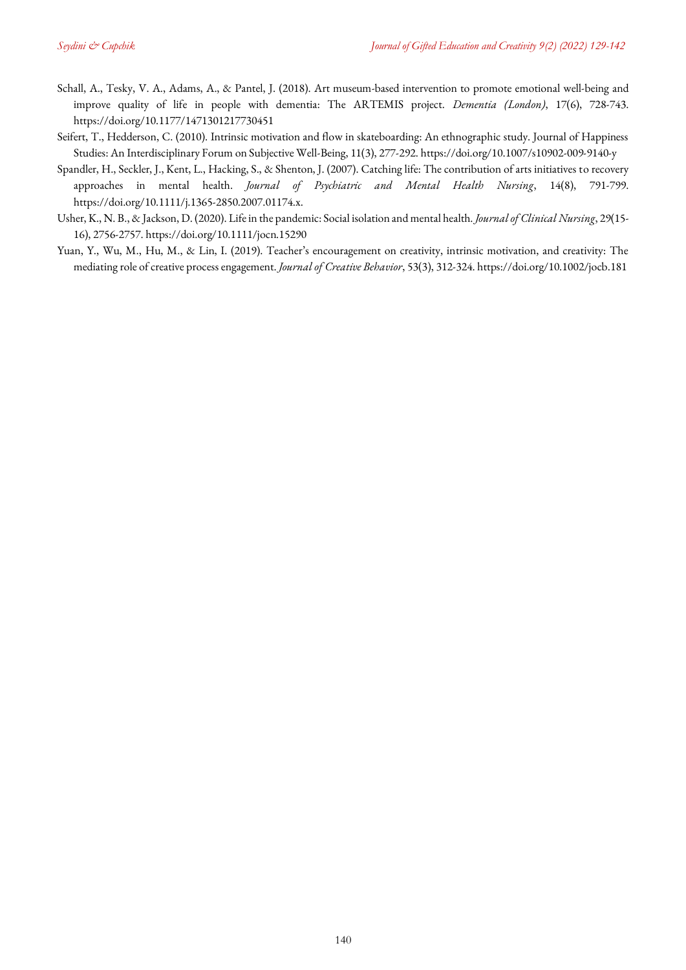- Schall, A., Tesky, V. A., Adams, A., & Pantel, J. (2018). Art museum-based intervention to promote emotional well-being and improve quality of life in people with dementia: The ARTEMIS project. *Dementia (London)*, 17(6), 728-743. https://doi.org/10.1177/1471301217730451
- Seifert, T., Hedderson, C. (2010). Intrinsic motivation and flow in skateboarding: An ethnographic study. Journal of Happiness Studies: An Interdisciplinary Forum on Subjective Well-Being, 11(3), 277-292[. https://doi.org/10.1007/s10902-009-9140-y](https://doi.org/10.1007/s10902-009-9140-y)
- Spandler, H., Seckler, J., Kent, L., Hacking, S., & Shenton, J. (2007). Catching life: The contribution of arts initiatives to recovery approaches in mental health. *Journal of Psychiatric and Mental Health Nursing*, 14(8), 791-799. https://doi.org/10.1111/j.1365-2850.2007.01174.x.
- Usher, K., N. B., & Jackson, D. (2020). Life in the pandemic: Social isolation and mental health. *Journal of Clinical Nursing*, 29(15- 16), 2756-2757[. https://doi.org/10.1111/jocn.15290](https://doi.org/10.1111/jocn.15290)
- Yuan, Y., Wu, M., Hu, M., & Lin, I. (2019). Teacher's encouragement on creativity, intrinsic motivation, and creativity: The mediating role of creative process engagement. *Journal of Creative Behavior*, 53(3), 312-324. https://doi.org/10.1002/jocb.181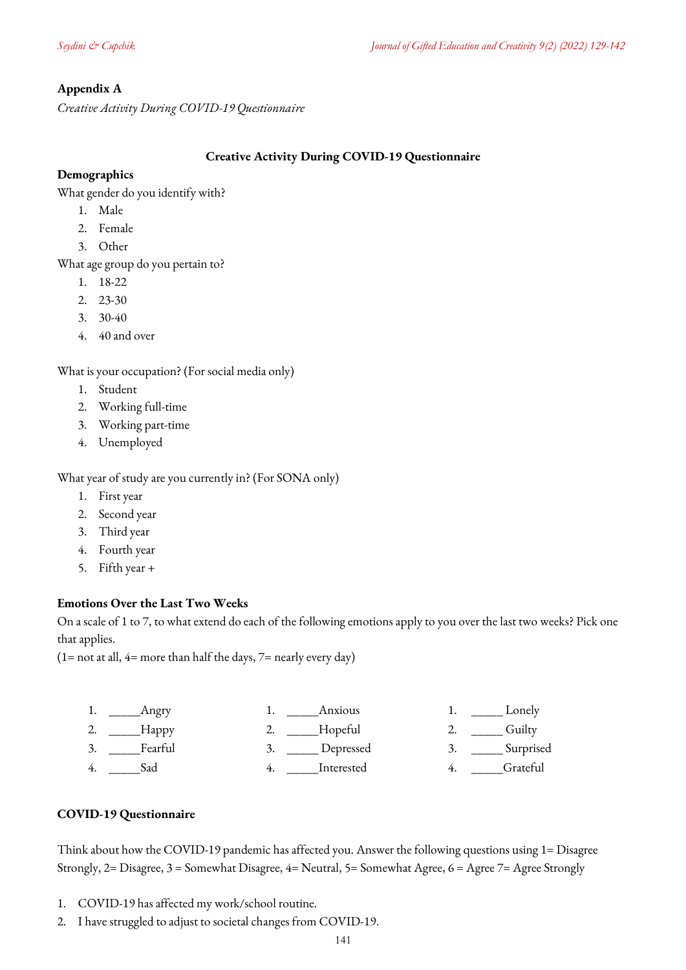# <span id="page-12-0"></span>**Appendix A**

*Creative Activity During COVID-19 Questionnaire*

### **Creative Activity During COVID-19 Questionnaire**

## **Demographics**

What gender do you identify with?

- 1. Male
- 2. Female
- 3. Other

What age group do you pertain to?

- 1. 18-22
- 2. 23-30
- 3. 30-40
- 4. 40 and over

What is your occupation? (For social media only)

- 1. Student
- 2. Working full-time
- 3. Working part-time
- 4. Unemployed

What year of study are you currently in? (For SONA only)

- 1. First year
- 2. Second year
- 3. Third year
- 4. Fourth year
- 5. Fifth year +

# **Emotions Over the Last Two Weeks**

On a scale of 1 to 7, to what extend do each of the following emotions apply to you over the last two weeks? Pick one that applies.

 $(1=$  not at all,  $4=$  more than half the days,  $7=$  nearly every day)

|     | ngry    | Anxious    | Lonely    |
|-----|---------|------------|-----------|
| ، گ | Happy   | Hopeful    | Guiltv    |
|     | Fearful | Depressed  | Surprised |
|     | dad     | Interested | Grateful  |

# **COVID-19 Questionnaire**

Think about how the COVID-19 pandemic has affected you. Answer the following questions using 1= Disagree Strongly, 2= Disagree, 3 = Somewhat Disagree, 4= Neutral, 5= Somewhat Agree, 6 = Agree 7= Agree Strongly

- 1. COVID-19 has affected my work/school routine.
- 2. I have struggled to adjust to societal changes from COVID-19.